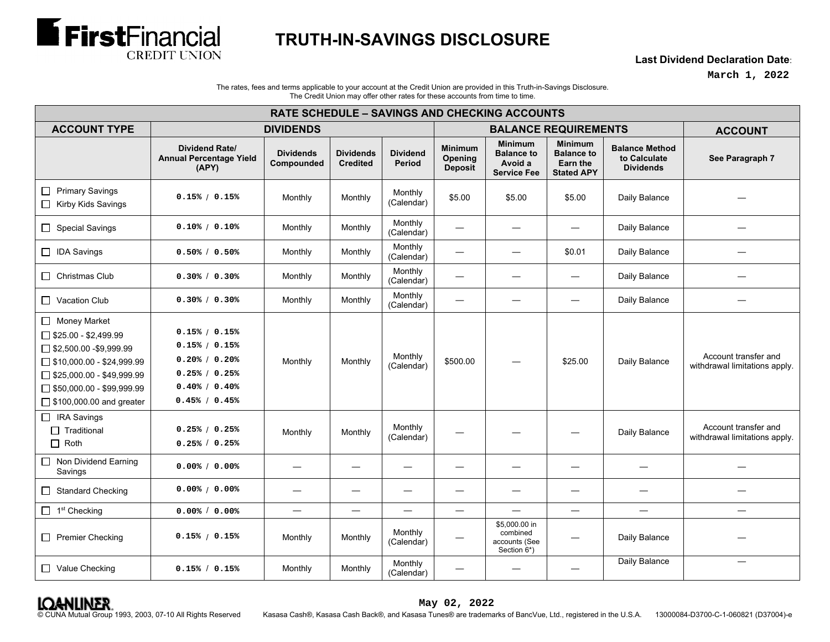

## **TRUTH-IN-SAVINGS DISCLOSURE**

**Last Dividend Declaration Date**:

**March 1, 2022**

The rates, fees and terms applicable to your account at the Credit Union are provided in this Truth-in-Savings Disclosure. The Credit Union may offer other rates for these accounts from time to time.

| <b>RATE SCHEDULE - SAVINGS AND CHECKING ACCOUNTS</b>                                                                                                                                                                   |                                                                                                    |                                |                                     |                                  |                                      |                                                                      |                                                                      |                                                           |                                                       |  |
|------------------------------------------------------------------------------------------------------------------------------------------------------------------------------------------------------------------------|----------------------------------------------------------------------------------------------------|--------------------------------|-------------------------------------|----------------------------------|--------------------------------------|----------------------------------------------------------------------|----------------------------------------------------------------------|-----------------------------------------------------------|-------------------------------------------------------|--|
| <b>ACCOUNT TYPE</b>                                                                                                                                                                                                    | <b>DIVIDENDS</b>                                                                                   |                                |                                     |                                  | <b>BALANCE REQUIREMENTS</b>          |                                                                      |                                                                      |                                                           | <b>ACCOUNT</b>                                        |  |
|                                                                                                                                                                                                                        | <b>Dividend Rate/</b><br><b>Annual Percentage Yield</b><br>(APY)                                   | <b>Dividends</b><br>Compounded | <b>Dividends</b><br><b>Credited</b> | <b>Dividend</b><br><b>Period</b> | <b>Minimum</b><br>Opening<br>Deposit | <b>Minimum</b><br><b>Balance to</b><br>Avoid a<br><b>Service Fee</b> | <b>Minimum</b><br><b>Balance to</b><br>Earn the<br><b>Stated APY</b> | <b>Balance Method</b><br>to Calculate<br><b>Dividends</b> | See Paragraph 7                                       |  |
| Primary Savings<br>Kirby Kids Savings                                                                                                                                                                                  | 0.15% / 0.15%                                                                                      | Monthly                        | Monthly                             | Monthly<br>(Calendar)            | \$5.00                               | \$5.00                                                               | \$5.00                                                               | Daily Balance                                             |                                                       |  |
| Special Savings                                                                                                                                                                                                        | 0.10% / 0.10%                                                                                      | Monthly                        | Monthly                             | Monthly<br>(Calendar)            |                                      |                                                                      |                                                                      | Daily Balance                                             |                                                       |  |
| □ IDA Savings                                                                                                                                                                                                          | $0.50\%$ / $0.50\%$                                                                                | Monthly                        | Monthly                             | Monthly<br>(Calendar)            |                                      | $\overline{\phantom{m}}$                                             | \$0.01                                                               | Daily Balance                                             |                                                       |  |
| $\Box$ Christmas Club                                                                                                                                                                                                  | 0.30% / 0.30%                                                                                      | Monthly                        | Monthly                             | Monthly<br>(Calendar)            |                                      | $\overbrace{\phantom{12322111}}$                                     |                                                                      | Daily Balance                                             |                                                       |  |
| Vacation Club                                                                                                                                                                                                          | 0.30% / 0.30%                                                                                      | Monthly                        | Monthly                             | Monthly<br>(Calendar)            |                                      |                                                                      |                                                                      | Daily Balance                                             |                                                       |  |
| Money Market<br>$\Box$ \$25.00 - \$2,499.99<br>$\Box$ \$2,500.00 -\$9,999.99<br>$\Box$ \$10,000.00 - \$24,999.99<br>$\Box$ \$25,000.00 - \$49,999.99<br>$\Box$ \$50,000.00 - \$99,999.99<br>□ \$100,000.00 and greater | 0.15% / 0.15%<br>0.15% / 0.15%<br>0.20% / 0.20%<br>0.25% / 0.25%<br>0.40% / 0.40%<br>0.45% / 0.45% | Monthly                        | Monthly                             | Monthly<br>(Calendar)            | \$500.00                             |                                                                      | \$25.00                                                              | Daily Balance                                             | Account transfer and<br>withdrawal limitations apply. |  |
| $\Box$ IRA Savings<br>$\Box$ Traditional<br>$\Box$ Roth                                                                                                                                                                | 0.25% / 0.25%<br>0.25% / 0.25%                                                                     | Monthly                        | Monthly                             | Monthly<br>(Calendar)            |                                      |                                                                      |                                                                      | Daily Balance                                             | Account transfer and<br>withdrawal limitations apply. |  |
| $\Box$ Non Dividend Earning<br>Savings                                                                                                                                                                                 | 0.00% / 0.00%                                                                                      |                                | $\overline{\phantom{0}}$            |                                  |                                      | $\overline{\phantom{0}}$                                             |                                                                      | $\overline{\phantom{0}}$                                  |                                                       |  |
| <b>Standard Checking</b><br>$\Box$                                                                                                                                                                                     | 0.00% / 0.00%                                                                                      |                                | $\overline{\phantom{0}}$            |                                  |                                      | $\overline{\phantom{0}}$                                             |                                                                      |                                                           |                                                       |  |
| $\Box$ 1 <sup>st</sup> Checking                                                                                                                                                                                        | 0.00% / 0.00%                                                                                      | $\overline{\phantom{0}}$       | $\overline{\phantom{0}}$            | $\overline{\phantom{0}}$         |                                      | $\overline{\phantom{0}}$                                             |                                                                      | $\overline{\phantom{0}}$                                  | $\overline{\phantom{0}}$                              |  |
| Premier Checking                                                                                                                                                                                                       | 0.15% / 0.15%                                                                                      | Monthly                        | Monthly                             | Monthly<br>(Calendar)            |                                      | \$5,000.00 in<br>combined<br>accounts (See<br>Section 6*)            |                                                                      | Daily Balance                                             |                                                       |  |
| □ Value Checking                                                                                                                                                                                                       | 0.15% / 0.15%                                                                                      | Monthly                        | Monthly                             | Monthly<br>(Calendar)            | $\overline{\phantom{0}}$             |                                                                      |                                                                      | Daily Balance                                             |                                                       |  |

© CUNA Mutual Group 1993, 2003, 07-10 All Rights Reserved Kasasa Cash®, Kasasa Cash Back®, and Kasasa Tunes® are trademarks of BancVue, Ltd., registered in the U.S.A. 13000084-D3700-C-1-060821 (D37004)-e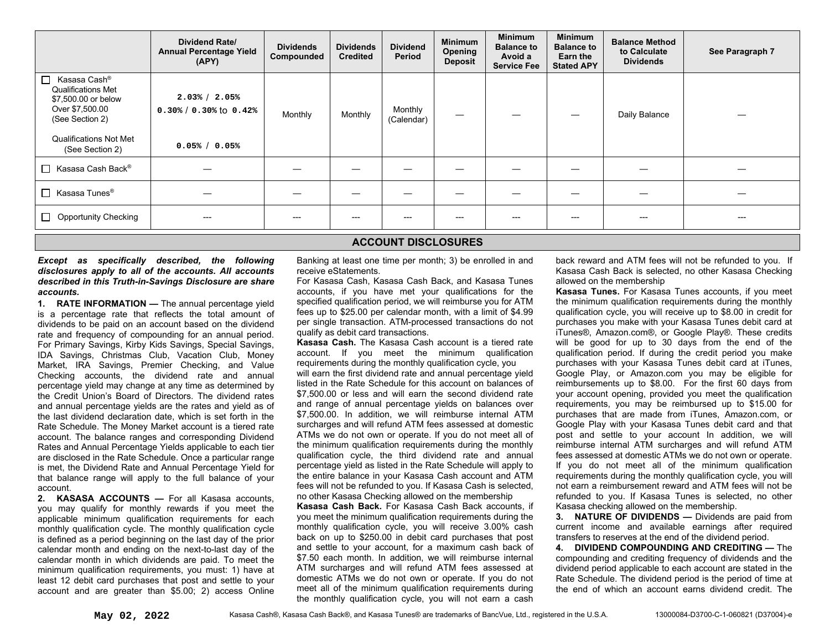|                                                                                                                                                                  | Dividend Rate/<br><b>Annual Percentage Yield</b><br>(APY)       | <b>Dividends</b><br>Compounded | <b>Dividends</b><br><b>Credited</b> | <b>Dividend</b><br>Period | <b>Minimum</b><br>Opening<br><b>Deposit</b> | <b>Minimum</b><br><b>Balance to</b><br>Avoid a<br><b>Service Fee</b> | <b>Minimum</b><br><b>Balance to</b><br>Earn the<br><b>Stated APY</b> | <b>Balance Method</b><br>to Calculate<br><b>Dividends</b> | See Paragraph 7 |
|------------------------------------------------------------------------------------------------------------------------------------------------------------------|-----------------------------------------------------------------|--------------------------------|-------------------------------------|---------------------------|---------------------------------------------|----------------------------------------------------------------------|----------------------------------------------------------------------|-----------------------------------------------------------|-----------------|
| П.<br>Kasasa Cash®<br><b>Qualifications Met</b><br>\$7,500.00 or below<br>Over \$7,500.00<br>(See Section 2)<br><b>Qualifications Not Met</b><br>(See Section 2) | 2.03% / 2.05%<br>$0.30\% / 0.30\%$ to $0.42\%$<br>0.05% / 0.05% | Monthly                        | Monthly                             | Monthly<br>(Calendar)     |                                             |                                                                      |                                                                      | Daily Balance                                             |                 |
| $\Box$ Kasasa Cash Back®                                                                                                                                         |                                                                 |                                |                                     |                           |                                             |                                                                      |                                                                      |                                                           |                 |
| $\Box$ Kasasa Tunes <sup>®</sup>                                                                                                                                 |                                                                 |                                |                                     |                           |                                             |                                                                      |                                                                      |                                                           |                 |
| $\Box$ Opportunity Checking                                                                                                                                      | $---$                                                           | ---                            | ---                                 |                           |                                             |                                                                      | $---$                                                                | ---                                                       | ---             |

## **ACCOUNT DISCLOSURES**

*Except as specifically described, the following disclosures apply to all of the accounts. All accounts described in this Truth-in-Savings Disclosure are share accounts.* 

**1. RATE INFORMATION —** The annual percentage yield is a percentage rate that reflects the total amount of dividends to be paid on an account based on the dividend rate and frequency of compounding for an annual period. For Primary Savings, Kirby Kids Savings, Special Savings, IDA Savings, Christmas Club, Vacation Club, Money Market, IRA Savings, Premier Checking, and Value Checking accounts, the dividend rate and annual percentage yield may change at any time as determined by the Credit Union's Board of Directors. The dividend rates and annual percentage yields are the rates and yield as of the last dividend declaration date, which is set forth in the Rate Schedule. The Money Market account is a tiered rate account. The balance ranges and corresponding Dividend Rates and Annual Percentage Yields applicable to each tier are disclosed in the Rate Schedule. Once a particular range is met, the Dividend Rate and Annual Percentage Yield for that balance range will apply to the full balance of your account.

**2. KASASA ACCOUNTS —** For all Kasasa accounts, you may qualify for monthly rewards if you meet the applicable minimum qualification requirements for each monthly qualification cycle. The monthly qualification cycle is defined as a period beginning on the last day of the prior calendar month and ending on the next-to-last day of the calendar month in which dividends are paid. To meet the minimum qualification requirements, you must: 1) have at least 12 debit card purchases that post and settle to your account and are greater than \$5.00; 2) access Online Banking at least one time per month; 3) be enrolled in and receive eStatements.

For Kasasa Cash, Kasasa Cash Back, and Kasasa Tunes accounts, if you have met your qualifications for the specified qualification period, we will reimburse you for ATM fees up to \$25.00 per calendar month, with a limit of \$4.99 per single transaction. ATM-processed transactions do not qualify as debit card transactions.

**Kasasa Cash.** The Kasasa Cash account is a tiered rate account. If you meet the minimum qualification requirements during the monthly qualification cycle, you will earn the first dividend rate and annual percentage yield listed in the Rate Schedule for this account on balances of \$7,500.00 or less and will earn the second dividend rate and range of annual percentage yields on balances over \$7,500.00. In addition, we will reimburse internal ATM surcharges and will refund ATM fees assessed at domestic ATMs we do not own or operate. If you do not meet all of the minimum qualification requirements during the monthly qualification cycle, the third dividend rate and annual percentage yield as listed in the Rate Schedule will apply to the entire balance in your Kasasa Cash account and ATM fees will not be refunded to you. If Kasasa Cash is selected, no other Kasasa Checking allowed on the membership

**Kasasa Cash Back.** For Kasasa Cash Back accounts, if you meet the minimum qualification requirements during the monthly qualification cycle, you will receive 3.00% cash back on up to \$250.00 in debit card purchases that post and settle to your account, for a maximum cash back of \$7.50 each month. In addition, we will reimburse internal ATM surcharges and will refund ATM fees assessed at domestic ATMs we do not own or operate. If you do not meet all of the minimum qualification requirements during the monthly qualification cycle, you will not earn a cash

back reward and ATM fees will not be refunded to you. If Kasasa Cash Back is selected, no other Kasasa Checking allowed on the membership

**Kasasa Tunes.** For Kasasa Tunes accounts, if you meet the minimum qualification requirements during the monthly qualification cycle, you will receive up to \$8.00 in credit for purchases you make with your Kasasa Tunes debit card at iTunes®, Amazon.com®, or Google Play®. These credits will be good for up to 30 days from the end of the qualification period. If during the credit period you make purchases with your Kasasa Tunes debit card at iTunes, Google Play, or Amazon.com you may be eligible for reimbursements up to \$8.00. For the first 60 days from your account opening, provided you meet the qualification requirements, you may be reimbursed up to \$15.00 for purchases that are made from iTunes, Amazon.com, or Google Play with your Kasasa Tunes debit card and that post and settle to your account In addition, we will reimburse internal ATM surcharges and will refund ATM fees assessed at domestic ATMs we do not own or operate. If you do not meet all of the minimum qualification requirements during the monthly qualification cycle, you will not earn a reimbursement reward and ATM fees will not be refunded to you. If Kasasa Tunes is selected, no other Kasasa checking allowed on the membership.

**3. NATURE OF DIVIDENDS —** Dividends are paid from current income and available earnings after required transfers to reserves at the end of the dividend period.

**4. DIVIDEND COMPOUNDING AND CREDITING —** The compounding and crediting frequency of dividends and the dividend period applicable to each account are stated in the Rate Schedule. The dividend period is the period of time at the end of which an account earns dividend credit. The